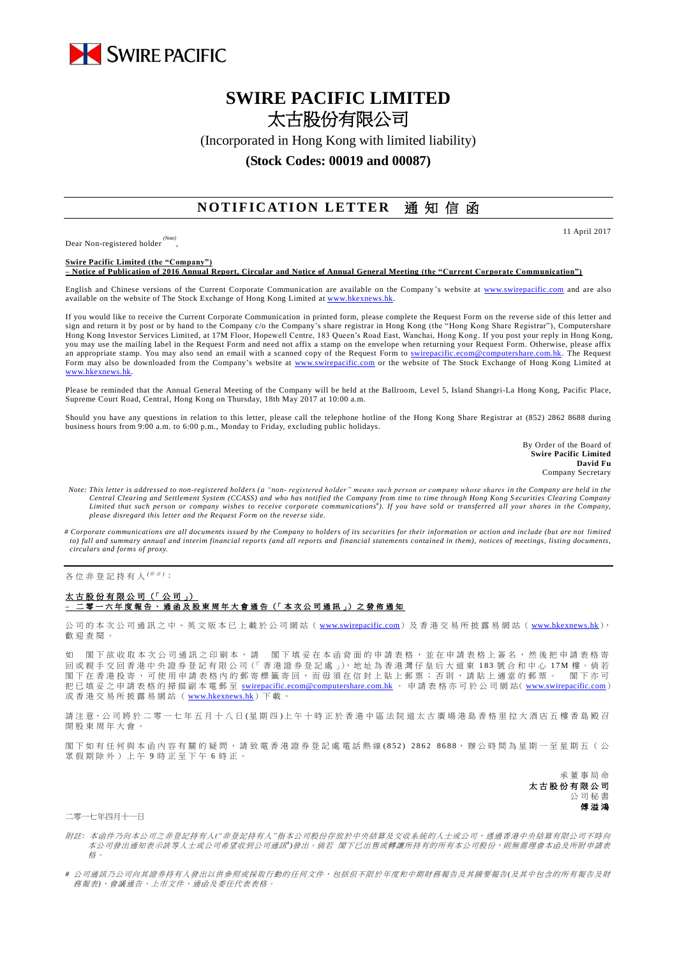

## **SWIRE PACIFIC LIMITED** 太古股份有限公司

(Incorporated in Hong Kong with limited liability)

## **(Stock Codes: 00019 and 00087)**

## **NOTIFICATION LETTER** 通知信函

Dear Non-registered holder *(Note)* , 11 April 2017

**Swire Pacific Limited (the "Company") – Notice of Publication of 2016 Annual Report, Circular and Notice of Annual General Meeting (the "Current Corporate Communication")**

English and Chinese versions of the Current Corporate Communication are available on the Company's website at [www.swirepacific.com](http://www.swirepacific.com/) and are also available on the website of The Stock Exchange of Hong Kong Limited at www.hkexnews.

If you would like to receive the Current Corporate Communication in printed form, please complete the Request Form on the reverse side of this letter and sign and return it by post or by hand to the Company c/o the Company's share registrar in Hong Kong (the "Hong Kong Share Registrar"), Computershare Hong Kong Investor Services Limited, at 17M Floor, Hopewell Centre, 183 Queen's Road East, Wanchai, Hong Kong. If you post your reply in Hong Kong, you may use the mailing label in the Request Form and need not affix a stamp on the envelope when returning your Request Form. Otherwise, please affix an appropriate stamp. You may also send an email with a scanned copy of the Request Form to [swirepacific.ecom@computershare.com.hk.](mailto:swirepacific.ecom@computershare.com.hk) The Request Form may also be downloaded from the Company's website at [www.swirepacific.com](http://www.swirepacific.com/) or the website of The Stock Exchange of Hong Kong Limited at [www.hkexnews.hk.](http://www.hkexnews.hk/)

Please be reminded that the Annual General Meeting of the Company will be held at the Ballroom, Level 5, Island Shangri-La Hong Kong, Pacific Place, Supreme Court Road, Central, Hong Kong on Thursday, 18th May 2017 at 10:00 a.m.

Should you have any questions in relation to this letter, please call the telephone hotline of the Hong Kong Share Registrar at (852) 2862 8688 during business hours from 9:00 a.m. to 6:00 p.m., Monday to Friday, excluding public holidays.

> By Order of the Board of **Swire Pacific Limited David Fu** Company Secretary

- *Note: This letter is addressed to non-registered holders (a "non- registered holder" means such person or company whose shares in the Company are held in the*  Central Clearing and Settlement System (CCASS) and who has notified the Company from time to time through Hong Kong Securities Clearing Company<br>Limited that such person or company wishes to receive corporate communications *please disregard this letter and the Request Form on the reverse side.*
- *# Corporate communications are all documents issued by the Company to holders of its securities for their information or action and include (but are not limited to) full and summary annual and interim financial reports (and all reports and financial statements contained in them), notices of meetings, listing documents, circulars and forms of proxy.*

各位非登記持有人<sup>( \|||||||||||||</sup>

## 太古股份有限公司 (「公司」) **–** 二零一 六 年度報告 、通函 及 股 東 周 年 大 會 通 告 (「 本 次 公 司 通 訊 」) 之 發 佈 通 知

公司的本次公司通訊之中、英文版本已上載於公司網站 ([www.swirepacific.com](http://www.swirepacific.com/)) 及香港交易所披露易網站 ([www.hkexnews.hk](http://www.hkexnews.hk/)), 歡 迎 查閱。

如 閣下欲收取本次公司通訊之印刷本,請 閣下填妥在本函背面的申請表格,並在申請表格上簽名,然後把申請表格寄 回 或親手交回 香 港 中 央 證 券 登 記 有 限 公 司(「 香 港 證 券 登 記 處 」), 地 址 為 香 港 灣 仔 皇 后 大 道 東 1 8 3 號合和中心 1 7 M 樓 。 倘 若 閣下在香港投寄,可使用申請表格內的郵寄標籤寄回,而毋須在信封上貼上郵票;否則,請貼上適當的郵票。 閣下亦可 把已填妥之申請表格的掃描副本電郵至 [swirepacific.ecom@computershare.com.hk](mailto:swirepacific.ecom@computershare.com.hk) 。 申請表格亦可於公司網站( [www.swirepacific.com](http://www.swirepacific.com/)) 或香港交易所披露易網站 ( [www.hkexnews.hk](http://www.hkexnews.hk/)) 下載。

請注意,公司將於二零一七年五月十八日(星期四)上午十時正於香港中區法院道太古廣場港島香格里拉大酒店五樓香島殿召 開股東周年大會。

閣下如有任何與本函內容有關的疑問,請致電香港證券登記處電話熱線(852) 2862 8688,辦公時間為星期一至星期五(公 眾假期除外)上午 9 時正至下午 6 時正。

> 承董事 局 命 太古股份有限公司 公司秘書 傅溢鴻

二零一七年四月十一日

- 附註*:* 本函件乃向本公司之非登記持有人*("*非登記持有人*"*指本公司股份存放於中央結算及交收系統的人士或公司,透過香港中央結算有限公司不時向 本公司發出通知表示該等人士或公司希望收到公司通訊<sup>+</sup>)發出。 倘若 閣下已出售或轉讓所持有的所有本公司股份,則無需理會本函及所附申請表 格。
- *#* 公司通訊乃公司向其證券持有人發出以供參照或採取行動的任何文件,包括但不限於年度和中期財務報告及其摘要報告*(*及其中包含的所有報告及財 務報表*)*、會議通告、上市文件、通函及委任代表表格。